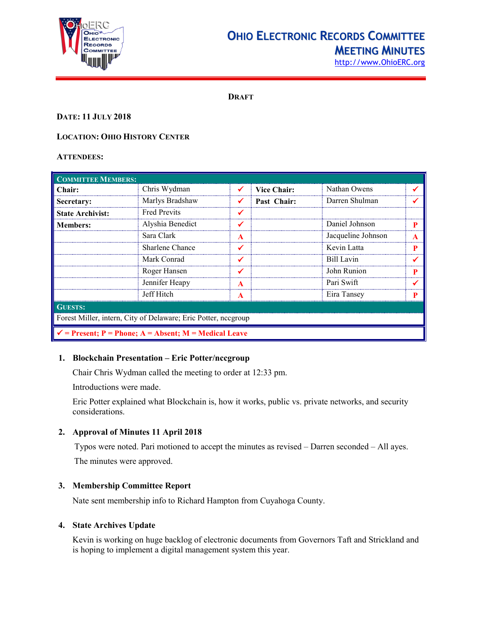

# **OHIO ELECTRONIC RECORDS COMMITTEE MEETING MINUTES**

[http://www.OhioERC.org](http://www.ohioerc.org/)

**DRAFT**

# **DATE: 11 JULY 2018**

# **LOCATION: OHIO HISTORY CENTER**

# **ATTENDEES:**

| <b>COMMITTEE MEMBERS:</b>                                        |                     |   |                    |                    |   |  |
|------------------------------------------------------------------|---------------------|---|--------------------|--------------------|---|--|
| Chair:                                                           | Chris Wydman        |   | <b>Vice Chair:</b> | Nathan Owens       |   |  |
| Secretary:                                                       | Marlys Bradshaw     |   | Past Chair:        | Darren Shulman     |   |  |
| <b>State Archivist:</b>                                          | <b>Fred Previts</b> |   |                    |                    |   |  |
| <b>Members:</b>                                                  | Alyshia Benedict    |   |                    | Daniel Johnson     |   |  |
|                                                                  | Sara Clark          | A |                    | Jacqueline Johnson | A |  |
|                                                                  | Sharlene Chance     |   |                    | Kevin Latta        | P |  |
|                                                                  | Mark Conrad         |   |                    | Bill Lavin         |   |  |
|                                                                  | Roger Hansen        |   |                    | John Runion        |   |  |
|                                                                  | Jennifer Heapy      | A |                    | Pari Swift         |   |  |
|                                                                  | Jeff Hitch          | A |                    | Eira Tansey        |   |  |
| <b>GUESTS:</b>                                                   |                     |   |                    |                    |   |  |
| Forest Miller, intern, City of Delaware; Eric Potter, neegroup   |                     |   |                    |                    |   |  |
| $\checkmark$ = Present; P = Phone; A = Absent; M = Medical Leave |                     |   |                    |                    |   |  |

## **1. Blockchain Presentation – Eric Potter/nccgroup**

Chair Chris Wydman called the meeting to order at 12:33 pm.

Introductions were made.

Eric Potter explained what Blockchain is, how it works, public vs. private networks, and security considerations.

# **2. Approval of Minutes 11 April 2018**

Typos were noted. Pari motioned to accept the minutes as revised – Darren seconded – All ayes. The minutes were approved.

# **3. Membership Committee Report**

Nate sent membership info to Richard Hampton from Cuyahoga County.

## **4. State Archives Update**

Kevin is working on huge backlog of electronic documents from Governors Taft and Strickland and is hoping to implement a digital management system this year.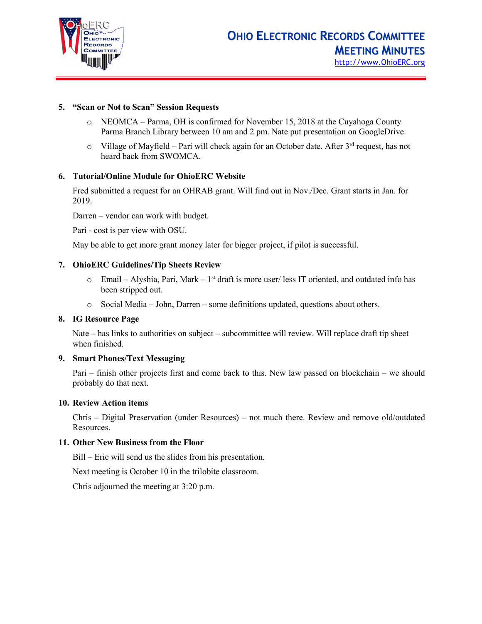

## **5. "Scan or Not to Scan" Session Requests**

- o NEOMCA Parma, OH is confirmed for November 15, 2018 at the Cuyahoga County Parma Branch Library between 10 am and 2 pm. Nate put presentation on GoogleDrive.
- $\circ$  Village of Mayfield Pari will check again for an October date. After 3<sup>rd</sup> request, has not heard back from SWOMCA.

#### **6. Tutorial/Online Module for OhioERC Website**

Fred submitted a request for an OHRAB grant. Will find out in Nov./Dec. Grant starts in Jan. for 2019.

Darren – vendor can work with budget.

Pari - cost is per view with OSU.

May be able to get more grant money later for bigger project, if pilot is successful.

#### **7. OhioERC Guidelines/Tip Sheets Review**

- $\circ$  Email Alyshia, Pari, Mark 1<sup>st</sup> draft is more user/ less IT oriented, and outdated info has been stripped out.
- o Social Media John, Darren some definitions updated, questions about others.

#### **8. IG Resource Page**

Nate – has links to authorities on subject – subcommittee will review. Will replace draft tip sheet when finished.

#### **9. Smart Phones/Text Messaging**

Pari – finish other projects first and come back to this. New law passed on blockchain – we should probably do that next.

#### **10. Review Action items**

Chris – Digital Preservation (under Resources) – not much there. Review and remove old/outdated Resources.

#### **11. Other New Business from the Floor**

Bill – Eric will send us the slides from his presentation.

Next meeting is October 10 in the trilobite classroom.

Chris adjourned the meeting at 3:20 p.m.